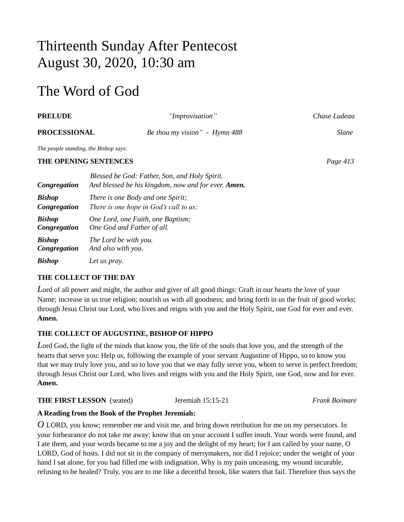# Thirteenth Sunday After Pentecost August 30, 2020, 10:30 am

# The Word of God

| <b>PRELUDE</b>                        |                                                                                                      | "Improvisation"               | Chase Ludeau |
|---------------------------------------|------------------------------------------------------------------------------------------------------|-------------------------------|--------------|
| <b>PROCESSIONAL</b>                   |                                                                                                      | Be thou my vision" - Hymn 488 | Slane        |
| The people standing, the Bishop says: |                                                                                                      |                               |              |
|                                       | THE OPENING SENTENCES                                                                                |                               | Page 413     |
| Congregation                          | Blessed be God: Father, Son, and Holy Spirit.<br>And blessed be his kingdom, now and for ever. Amen. |                               |              |
| <b>Bishop</b><br>Congregation         | There is one Body and one Spirit;<br>There is one hope in God's call to us;                          |                               |              |
| <b>Bishop</b><br>Congregation         | One Lord, one Faith, one Baptism;<br>One God and Father of all.                                      |                               |              |
| <b>Bishop</b><br>Congregation         | The Lord be with you.<br>And also with you.                                                          |                               |              |
| <b>Bishop</b>                         | Let us pray.                                                                                         |                               |              |

# **THE COLLECT OF THE DAY**

*L*ord of all power and might, the author and giver of all good things: Graft in our hearts the love of your Name; increase in us true religion; nourish us with all goodness; and bring forth in us the fruit of good works; through Jesus Christ our Lord, who lives and reigns with you and the Holy Spirit, one God for ever and ever. **Amen.**

# **THE COLLECT OF AUGUSTINE, BISHOP OF HIPPO**

*L*ord God, the light of the minds that know you, the life of the souls that love you, and the strength of the hearts that serve you: Help us, following the example of your servant Augustine of Hippo, so to know you that we may truly love you, and so to love you that we may fully serve you, whom to serve is perfect freedom; through Jesus Christ our Lord, who lives and reigns with you and the Holy Spirit, one God, now and for ever. **Amen.**

# **THE FIRST LESSON** (seated) Jeremiah 15:15-21 *Frank Boimare*

# **A Reading from the Book of the Prophet Jeremiah:**

*O* LORD, you know; remember me and visit me, and bring down retribution for me on my persecutors. In your forbearance do not take me away; know that on your account I suffer insult. Your words were found, and I ate them, and your words became to me a joy and the delight of my heart; for I am called by your name, O LORD, God of hosts. I did not sit in the company of merrymakers, nor did I rejoice; under the weight of your hand I sat alone, for you had filled me with indignation. Why is my pain unceasing, my wound incurable, refusing to be healed? Truly, you are to me like a deceitful brook, like waters that fail. Therefore thus says the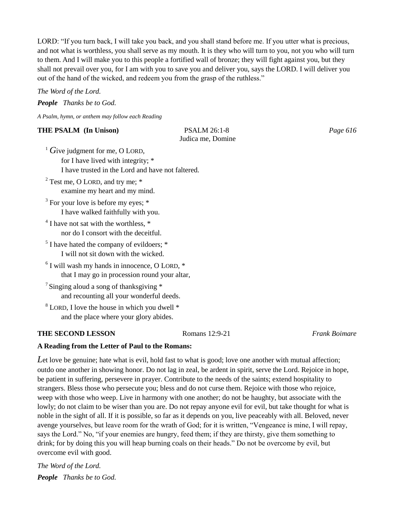LORD: "If you turn back, I will take you back, and you shall stand before me. If you utter what is precious, and not what is worthless, you shall serve as my mouth. It is they who will turn to you, not you who will turn to them. And I will make you to this people a fortified wall of bronze; they will fight against you, but they shall not prevail over you, for I am with you to save you and deliver you, says the LORD. I will deliver you out of the hand of the wicked, and redeem you from the grasp of the ruthless."

### *The Word of the Lord.*

*People Thanks be to God.* 

*A Psalm, hymn, or anthem may follow each Reading*

# **THE PSALM (In Unison) PSALM 26:1-8** *Page 616*

Judica me, Domine

<sup>1</sup> Give judgment for me, O LORD, for I have lived with integrity; \* I have trusted in the Lord and have not faltered.

- <sup>2</sup> Test me, O LORD, and try me;  $*$ examine my heart and my mind.
- $3$  For your love is before my eyes;  $*$ I have walked faithfully with you.
- <sup>4</sup> I have not sat with the worthless, \* nor do I consort with the deceitful.
- <sup>5</sup> I have hated the company of evildoers; \* I will not sit down with the wicked.
- 6 I will wash my hands in innocence, O LORD, \* that I may go in procession round your altar,
- <sup>7</sup> Singing aloud a song of thanksgiving  $*$ and recounting all your wonderful deeds.
- <sup>8</sup> LORD, I love the house in which you dwell \* and the place where your glory abides.

### **THE SECOND LESSON** Romans 12:9-21 *Frank Boimare*

# **A Reading from the Letter of Paul to the Romans:**

Let love be genuine; hate what is evil, hold fast to what is good; love one another with mutual affection; outdo one another in showing honor. Do not lag in zeal, be ardent in spirit, serve the Lord. Rejoice in hope, be patient in suffering, persevere in prayer. Contribute to the needs of the saints; extend hospitality to strangers. Bless those who persecute you; bless and do not curse them. Rejoice with those who rejoice, weep with those who weep. Live in harmony with one another; do not be haughty, but associate with the lowly; do not claim to be wiser than you are. Do not repay anyone evil for evil, but take thought for what is noble in the sight of all. If it is possible, so far as it depends on you, live peaceably with all. Beloved, never avenge yourselves, but leave room for the wrath of God; for it is written, "Vengeance is mine, I will repay, says the Lord." No, "if your enemies are hungry, feed them; if they are thirsty, give them something to drink; for by doing this you will heap burning coals on their heads." Do not be overcome by evil, but overcome evil with good.

*The Word of the Lord. People Thanks be to God.*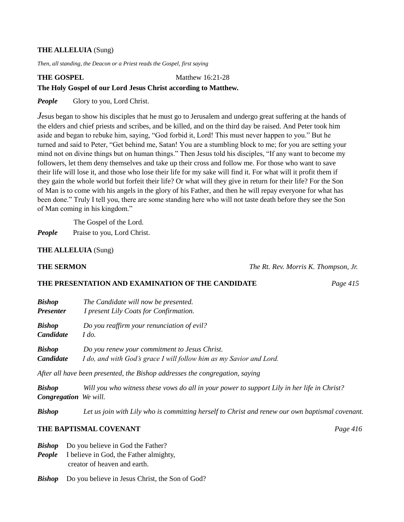#### **THE ALLELUIA** (Sung)

*Then, all standing, the Deacon or a Priest reads the Gospel, first saying*

#### **THE GOSPEL**

**Matthew 16:21-28** 

#### **The Holy Gospel of our Lord Jesus Christ according to Matthew.**

*People* Glory to you, Lord Christ.

*Jesus began to show his disciples that he must go to Jerusalem and undergo great suffering at the hands of* the elders and chief priests and scribes, and be killed, and on the third day be raised. And Peter took him aside and began to rebuke him, saying, "God forbid it, Lord! This must never happen to you." But he turned and said to Peter, "Get behind me, Satan! You are a stumbling block to me; for you are setting your mind not on divine things but on human things." Then Jesus told his disciples, "If any want to become my followers, let them deny themselves and take up their cross and follow me. For those who want to save their life will lose it, and those who lose their life for my sake will find it. For what will it profit them if they gain the whole world but forfeit their life? Or what will they give in return for their life? For the Son of Man is to come with his angels in the glory of his Father, and then he will repay everyone for what has been done." Truly I tell you, there are some standing here who will not taste death before they see the Son of Man coming in his kingdom."

The Gospel of the Lord.

*People* Praise to you, Lord Christ.

**THE ALLELUIA** (Sung)

**THE SERMON** *The Rt. Rev. Morris K. Thompson, Jr.*

## **THE PRESENTATION AND EXAMINATION OF THE CANDIDATE** *Page 415*

| <b>Bishop</b><br><b>Presenter</b> | The Candidate will now be presented.<br>I present Lily Coats for Confirmation.              |  |  |
|-----------------------------------|---------------------------------------------------------------------------------------------|--|--|
| <b>Bishop</b>                     | Do you reaffirm your renunciation of evil?                                                  |  |  |
| <b>Candidate</b>                  | I do.                                                                                       |  |  |
| <b>Bishop</b>                     | Do you renew your commitment to Jesus Christ.                                               |  |  |
| <b>Candidate</b>                  | I do, and with God's grace I will follow him as my Savior and Lord.                         |  |  |
|                                   | After all have been presented, the Bishop addresses the congregation, saying                |  |  |
| <b>Bishop</b>                     | Will you who witness these vows do all in your power to support Lily in her life in Christ? |  |  |

*Congregation We will.*

*Bishop Let us join with Lily who is committing herself to Christ and renew our own baptismal covenant.*

## **THE BAPTISMAL COVENANT** *Page 416*

**Bishop** Do you believe in God the Father?

*People* I believe in God, the Father almighty, creator of heaven and earth.

**Bishop** Do you believe in Jesus Christ, the Son of God?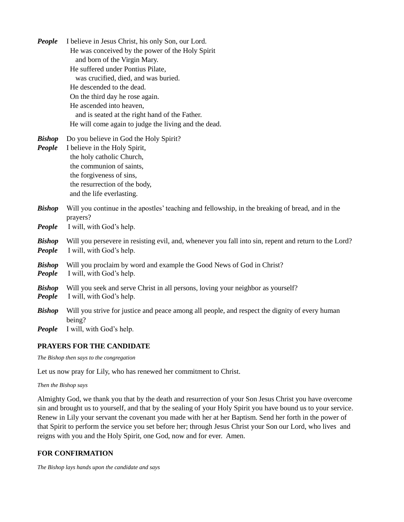| People                  | I believe in Jesus Christ, his only Son, our Lord.<br>He was conceived by the power of the Holy Spirit<br>and born of the Virgin Mary.<br>He suffered under Pontius Pilate,<br>was crucified, died, and was buried.<br>He descended to the dead.<br>On the third day he rose again.<br>He ascended into heaven,<br>and is seated at the right hand of the Father.<br>He will come again to judge the living and the dead. |
|-------------------------|---------------------------------------------------------------------------------------------------------------------------------------------------------------------------------------------------------------------------------------------------------------------------------------------------------------------------------------------------------------------------------------------------------------------------|
| <b>Bishop</b><br>People | Do you believe in God the Holy Spirit?<br>I believe in the Holy Spirit,<br>the holy catholic Church,<br>the communion of saints,<br>the forgiveness of sins,<br>the resurrection of the body,<br>and the life everlasting.                                                                                                                                                                                                |
| <b>Bishop</b><br>People | Will you continue in the apostles' teaching and fellowship, in the breaking of bread, and in the<br>prayers?<br>I will, with God's help.                                                                                                                                                                                                                                                                                  |
| <b>Bishop</b><br>People | Will you persevere in resisting evil, and, whenever you fall into sin, repent and return to the Lord?<br>I will, with God's help.                                                                                                                                                                                                                                                                                         |
| <b>Bishop</b><br>People | Will you proclaim by word and example the Good News of God in Christ?<br>I will, with God's help.                                                                                                                                                                                                                                                                                                                         |
| <b>Bishop</b><br>People | Will you seek and serve Christ in all persons, loving your neighbor as yourself?<br>I will, with God's help.                                                                                                                                                                                                                                                                                                              |
| <b>Bishop</b><br>People | Will you strive for justice and peace among all people, and respect the dignity of every human<br>being?<br>I will, with God's help.                                                                                                                                                                                                                                                                                      |

#### **PRAYERS FOR THE CANDIDATE**

*The Bishop then says to the congregation*

Let us now pray for Lily, who has renewed her commitment to Christ.

*Then the Bishop says*

Almighty God, we thank you that by the death and resurrection of your Son Jesus Christ you have overcome sin and brought us to yourself, and that by the sealing of your Holy Spirit you have bound us to your service. Renew in Lily your servant the covenant you made with her at her Baptism. Send her forth in the power of that Spirit to perform the service you set before her; through Jesus Christ your Son our Lord, who lives and reigns with you and the Holy Spirit, one God, now and for ever. Amen.

# **FOR CONFIRMATION**

*The Bishop lays hands upon the candidate and says*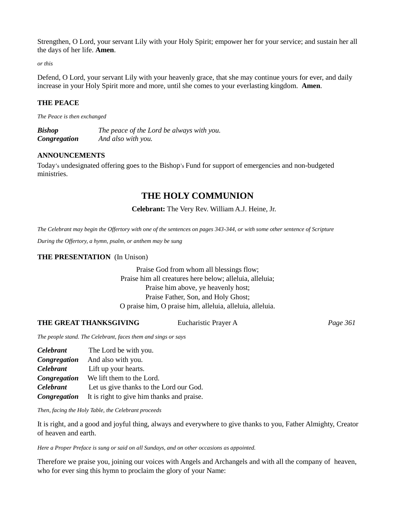Strengthen, O Lord, your servant Lily with your Holy Spirit; empower her for your service; and sustain her all the days of her life. **Amen**.

*or this*

Defend, O Lord, your servant Lily with your heavenly grace, that she may continue yours for ever, and daily increase in your Holy Spirit more and more, until she comes to your everlasting kingdom. **Amen**.

## **THE PEACE**

*The Peace is then exchanged*

*Bishop The peace of the Lord be always with you. Congregation And also with you.*

#### **ANNOUNCEMENTS**

Today's undesignated offering goes to the Bishop's Fund for support of emergencies and non-budgeted ministries.

# **THE HOLY COMMUNION**

#### **Celebrant:** The Very Rev. William A.J. Heine, Jr.

*The Celebrant may begin the Offertory with one of the sentences on pages 343-344, or with some other sentence of Scripture*

*During the Offertory, a hymn, psalm, or anthem may be sung*

#### **THE PRESENTATION** (In Unison)

Praise God from whom all blessings flow; Praise him all creatures here below; alleluia, alleluia; Praise him above, ye heavenly host; Praise Father, Son, and Holy Ghost; O praise him, O praise him, alleluia, alleluia, alleluia.

#### **THE GREAT THANKSGIVING** Eucharistic Prayer A *Page 361*

*The people stand. The Celebrant, faces them and sings or says*

| <b>Celebrant</b> | The Lord be with you.                      |
|------------------|--------------------------------------------|
| Congregation     | And also with you.                         |
| <b>Celebrant</b> | Lift up your hearts.                       |
| Congregation     | We lift them to the Lord.                  |
| <b>Celebrant</b> | Let us give thanks to the Lord our God.    |
| Congregation     | It is right to give him thanks and praise. |

*Then, facing the Holy Table, the Celebrant proceeds*

It is right, and a good and joyful thing, always and everywhere to give thanks to you, Father Almighty, Creator of heaven and earth.

*Here a Proper Preface is sung or said on all Sundays, and on other occasions as appointed.*

Therefore we praise you, joining our voices with Angels and Archangels and with all the company of heaven, who for ever sing this hymn to proclaim the glory of your Name: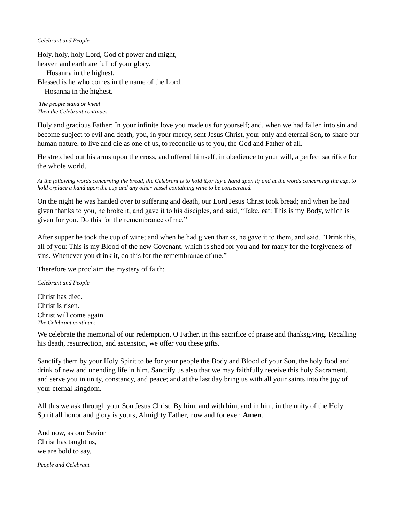#### *Celebrant and People*

Holy, holy, holy Lord, God of power and might,

heaven and earth are full of your glory.

Hosanna in the highest.

Blessed is he who comes in the name of the Lord.

Hosanna in the highest.

*The people stand or kneel Then the Celebrant continues*

Holy and gracious Father: In your infinite love you made us for yourself; and, when we had fallen into sin and become subject to evil and death, you, in your mercy, sent Jesus Christ, your only and eternal Son, to share our human nature, to live and die as one of us, to reconcile us to you, the God and Father of all.

He stretched out his arms upon the cross, and offered himself, in obedience to your will, a perfect sacrifice for the whole world.

*At the following words concerning the bread, the Celebrant is to hold it,or lay a hand upon it; and at the words concerning the cup, to hold orplace a hand upon the cup and any other vessel containing wine to be consecrated.*

On the night he was handed over to suffering and death, our Lord Jesus Christ took bread; and when he had given thanks to you, he broke it, and gave it to his disciples, and said, "Take, eat: This is my Body, which is given for you. Do this for the remembrance of me."

After supper he took the cup of wine; and when he had given thanks, he gave it to them, and said, "Drink this, all of you: This is my Blood of the new Covenant, which is shed for you and for many for the forgiveness of sins. Whenever you drink it, do this for the remembrance of me."

Therefore we proclaim the mystery of faith:

*Celebrant and People*

Christ has died. Christ is risen. Christ will come again. *The Celebrant continues*

We celebrate the memorial of our redemption, O Father, in this sacrifice of praise and thanksgiving. Recalling his death, resurrection, and ascension, we offer you these gifts.

Sanctify them by your Holy Spirit to be for your people the Body and Blood of your Son, the holy food and drink of new and unending life in him. Sanctify us also that we may faithfully receive this holy Sacrament, and serve you in unity, constancy, and peace; and at the last day bring us with all your saints into the joy of your eternal kingdom.

All this we ask through your Son Jesus Christ. By him, and with him, and in him, in the unity of the Holy Spirit all honor and glory is yours, Almighty Father, now and for ever. **Amen**.

And now, as our Savior Christ has taught us, we are bold to say,

*People and Celebrant*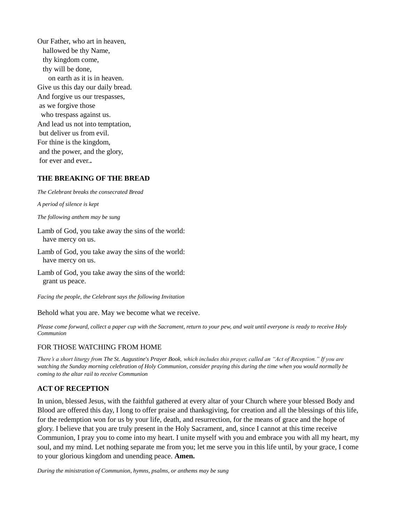Our Father, who art in heaven, hallowed be thy Name, thy kingdom come, thy will be done, on earth as it is in heaven. Give us this day our daily bread. And forgive us our trespasses, as we forgive those who trespass against us. And lead us not into temptation, but deliver us from evil. For thine is the kingdom, and the power, and the glory, for ever and ever.**.**

#### **THE BREAKING OF THE BREAD**

*The Celebrant breaks the consecrated Bread*

*A period of silence is kept*

*The following anthem may be sung*

Lamb of God, you take away the sins of the world: have mercy on us.

Lamb of God, you take away the sins of the world: have mercy on us.

Lamb of God, you take away the sins of the world: grant us peace.

*Facing the people, the Celebrant says the following Invitation*

Behold what you are. May we become what we receive.

*Please come forward, collect a paper cup with the Sacrament, return to your pew, and wait until everyone is ready to receive Holy Communion*

#### FOR THOSE WATCHING FROM HOME

*There's a short liturgy from The St. Augustine's Prayer Book, which includes this prayer, called an "Act of Reception." If you are watching the Sunday morning celebration of Holy Communion, consider praying this during the time when you would normally be coming to the altar rail to receive Communion*

#### **ACT OF RECEPTION**

In union, blessed Jesus, with the faithful gathered at every altar of your Church where your blessed Body and Blood are offered this day, I long to offer praise and thanksgiving, for creation and all the blessings of this life, for the redemption won for us by your life, death, and resurrection, for the means of grace and the hope of glory. I believe that you are truly present in the Holy Sacrament, and, since I cannot at this time receive Communion, I pray you to come into my heart. I unite myself with you and embrace you with all my heart, my soul, and my mind. Let nothing separate me from you; let me serve you in this life until, by your grace, I come to your glorious kingdom and unending peace. **Amen.**

*During the ministration of Communion, hymns, psalms, or anthems may be sung*